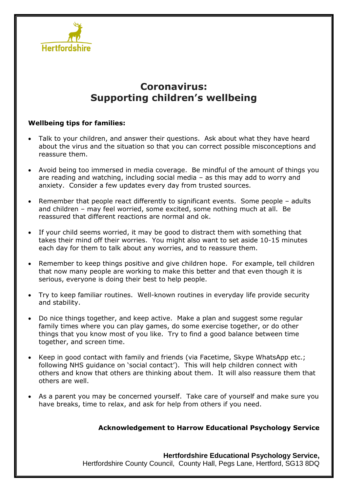

# **Coronavirus: Supporting children's wellbeing**

#### **Wellbeing tips for families:**

- Talk to your children, and answer their questions. Ask about what they have heard about the virus and the situation so that you can correct possible misconceptions and reassure them.
- Avoid being too immersed in media coverage. Be mindful of the amount of things you are reading and watching, including social media – as this may add to worry and anxiety. Consider a few updates every day from trusted sources.
- Remember that people react differently to significant events. Some people adults and children – may feel worried, some excited, some nothing much at all. Be reassured that different reactions are normal and ok.
- If your child seems worried, it may be good to distract them with something that takes their mind off their worries. You might also want to set aside 10-15 minutes each day for them to talk about any worries, and to reassure them.
- Remember to keep things positive and give children hope. For example, tell children that now many people are working to make this better and that even though it is serious, everyone is doing their best to help people.
- Try to keep familiar routines. Well-known routines in everyday life provide security and stability.
- Do nice things together, and keep active. Make a plan and suggest some regular family times where you can play games, do some exercise together, or do other things that you know most of you like. Try to find a good balance between time together, and screen time.
- Keep in good contact with family and friends (via Facetime, Skype WhatsApp etc.; following NHS guidance on 'social contact'). This will help children connect with others and know that others are thinking about them. It will also reassure them that others are well.
- As a parent you may be concerned yourself. Take care of yourself and make sure you have breaks, time to relax, and ask for help from others if you need.

#### **Acknowledgement to Harrow Educational Psychology Service**

**Hertfordshire Educational Psychology Service,** Hertfordshire County Council, County Hall, Pegs Lane, Hertford, SG13 8DQ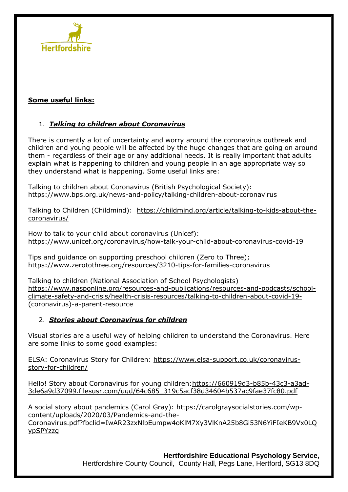

#### **Some useful links:**

## 1. *Talking to children about Coronavirus*

There is currently a lot of uncertainty and worry around the coronavirus outbreak and children and young people will be affected by the huge changes that are going on around them - regardless of their age or any additional needs. It is really important that adults explain what is happening to children and young people in an age appropriate way so they understand what is happening. Some useful links are:

Talking to children about Coronavirus (British Psychological Society): <https://www.bps.org.uk/news-and-policy/talking-children-about-coronavirus>

Talking to Children (Childmind): [https://childmind.org/article/talking-to-kids-about-the](https://childmind.org/article/talking-to-kids-about-the-coronavirus/)[coronavirus/](https://childmind.org/article/talking-to-kids-about-the-coronavirus/)

How to talk to your child about coronavirus (Unicef): <https://www.unicef.org/coronavirus/how-talk-your-child-about-coronavirus-covid-19>

Tips and guidance on supporting preschool children (Zero to Three); <https://www.zerotothree.org/resources/3210-tips-for-families-coronavirus>

Talking to children (National Association of School Psychologists) [https://www.nasponline.org/resources-and-publications/resources-and-podcasts/school](https://www.nasponline.org/resources-and-publications/resources-and-podcasts/school-climate-safety-and-crisis/health-crisis-resources/talking-to-children-about-covid-19-(coronavirus)-a-parent-resource)[climate-safety-and-crisis/health-crisis-resources/talking-to-children-about-covid-19-](https://www.nasponline.org/resources-and-publications/resources-and-podcasts/school-climate-safety-and-crisis/health-crisis-resources/talking-to-children-about-covid-19-(coronavirus)-a-parent-resource) [\(coronavirus\)-a-parent-resource](https://www.nasponline.org/resources-and-publications/resources-and-podcasts/school-climate-safety-and-crisis/health-crisis-resources/talking-to-children-about-covid-19-(coronavirus)-a-parent-resource)

#### 2. *Stories about Coronavirus for children*

Visual stories are a useful way of helping children to understand the Coronavirus. Here are some links to some good examples:

ELSA: Coronavirus Story for Children: [https://www.elsa-support.co.uk/coronavirus](https://www.elsa-support.co.uk/coronavirus-story-for-children/)[story-for-children/](https://www.elsa-support.co.uk/coronavirus-story-for-children/)

Hello! Story about Coronavirus for young children[:https://660919d3-b85b-43c3-a3ad-](https://660919d3-b85b-43c3-a3ad-3de6a9d37099.filesusr.com/ugd/64c685_319c5acf38d34604b537ac9fae37fc80.pdf)[3de6a9d37099.filesusr.com/ugd/64c685\\_319c5acf38d34604b537ac9fae37fc80.pdf](https://660919d3-b85b-43c3-a3ad-3de6a9d37099.filesusr.com/ugd/64c685_319c5acf38d34604b537ac9fae37fc80.pdf)

A social story about pandemics (Carol Gray): [https://carolgraysocialstories.com/wp](https://carolgraysocialstories.com/wp-content/uploads/2020/03/Pandemics-and-the-Coronavirus.pdf?fbclid=IwAR23zxNlbEumpw4oKlM7Xy3VlKnA25b8Gi53N6YiFIeKB9Vx0LQypSPYzzg)[content/uploads/2020/03/Pandemics-and-the-](https://carolgraysocialstories.com/wp-content/uploads/2020/03/Pandemics-and-the-Coronavirus.pdf?fbclid=IwAR23zxNlbEumpw4oKlM7Xy3VlKnA25b8Gi53N6YiFIeKB9Vx0LQypSPYzzg)[Coronavirus.pdf?fbclid=IwAR23zxNlbEumpw4oKlM7Xy3VlKnA25b8Gi53N6YiFIeKB9Vx0LQ](https://carolgraysocialstories.com/wp-content/uploads/2020/03/Pandemics-and-the-Coronavirus.pdf?fbclid=IwAR23zxNlbEumpw4oKlM7Xy3VlKnA25b8Gi53N6YiFIeKB9Vx0LQypSPYzzg) [ypSPYzzg](https://carolgraysocialstories.com/wp-content/uploads/2020/03/Pandemics-and-the-Coronavirus.pdf?fbclid=IwAR23zxNlbEumpw4oKlM7Xy3VlKnA25b8Gi53N6YiFIeKB9Vx0LQypSPYzzg)

> **Hertfordshire Educational Psychology Service,** Hertfordshire County Council, County Hall, Pegs Lane, Hertford, SG13 8DQ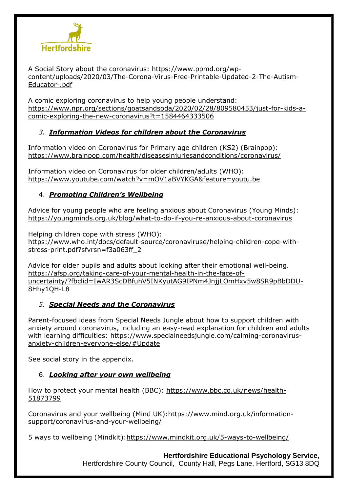

A Social Story about the coronavirus: [https://www.ppmd.org/wp](https://www.ppmd.org/wp-content/uploads/2020/03/The-Corona-Virus-Free-Printable-Updated-2-The-Autism-Educator-.pdf)[content/uploads/2020/03/The-Corona-Virus-Free-Printable-Updated-2-The-Autism-](https://www.ppmd.org/wp-content/uploads/2020/03/The-Corona-Virus-Free-Printable-Updated-2-The-Autism-Educator-.pdf)[Educator-.pdf](https://www.ppmd.org/wp-content/uploads/2020/03/The-Corona-Virus-Free-Printable-Updated-2-The-Autism-Educator-.pdf)

A comic exploring coronavirus to help young people understand: [https://www.npr.org/sections/goatsandsoda/2020/02/28/809580453/just-for-kids-a](https://www.npr.org/sections/goatsandsoda/2020/02/28/809580453/just-for-kids-a-comic-exploring-the-new-coronavirus?t=1584464333506)[comic-exploring-the-new-coronavirus?t=1584464333506](https://www.npr.org/sections/goatsandsoda/2020/02/28/809580453/just-for-kids-a-comic-exploring-the-new-coronavirus?t=1584464333506)

## *3. Information Videos for children about the Coronavirus*

Information video on Coronavirus for Primary age children (KS2) (Brainpop): <https://www.brainpop.com/health/diseasesinjuriesandconditions/coronavirus/>

Information video on Coronavirus for older children/adults (WHO): <https://www.youtube.com/watch?v=mOV1aBVYKGA&feature=youtu.be>

## 4. *Promoting Children's Wellbeing*

Advice for young people who are feeling anxious about Coronavirus (Young Minds): <https://youngminds.org.uk/blog/what-to-do-if-you-re-anxious-about-coronavirus>

Helping children cope with stress (WHO): [https://www.who.int/docs/default-source/coronaviruse/helping-children-cope-with](https://www.who.int/docs/default-source/coronaviruse/helping-children-cope-with-stress-print.pdf?sfvrsn=f3a063ff_2)[stress-print.pdf?sfvrsn=f3a063ff\\_2](https://www.who.int/docs/default-source/coronaviruse/helping-children-cope-with-stress-print.pdf?sfvrsn=f3a063ff_2)

Advice for older pupils and adults about looking after their emotional well-being. [https://afsp.org/taking-care-of-your-mental-health-in-the-face-of](https://protect-eu.mimecast.com/s/YopdC2Rmmup5knVs8RiGx?domain=afsp.org)[uncertainty/?fbclid=IwAR3ScDBfuhV5INKyutAG9IPNm4JnjjLOmHxv5w8SR9pBbDDU-](https://protect-eu.mimecast.com/s/YopdC2Rmmup5knVs8RiGx?domain=afsp.org)[8Hhy1QH-L8](https://protect-eu.mimecast.com/s/YopdC2Rmmup5knVs8RiGx?domain=afsp.org) 

## *5. Special Needs and the Coronavirus*

Parent-focused ideas from Special Needs Jungle about how to support children with anxiety around coronavirus, including an easy-read explanation for children and adults with learning difficulties: [https://www.specialneedsjungle.com/calming-coronavirus](https://protect-eu.mimecast.com/s/VurAC3lnncpDmLXszuWKM?domain=specialneedsjungle.com)[anxiety-children-everyone-else/#Update](https://protect-eu.mimecast.com/s/VurAC3lnncpDmLXszuWKM?domain=specialneedsjungle.com)

See social story in the appendix.

## 6. *Looking after your own wellbeing*

How to protect your mental health (BBC): [https://www.bbc.co.uk/news/health-](https://www.bbc.co.uk/news/health-51873799)[51873799](https://www.bbc.co.uk/news/health-51873799) 

Coronavirus and your wellbeing (Mind UK)[:https://www.mind.org.uk/information](https://www.mind.org.uk/information-support/coronavirus-and-your-wellbeing/)[support/coronavirus-and-your-wellbeing/](https://www.mind.org.uk/information-support/coronavirus-and-your-wellbeing/)

5 ways to wellbeing (Mindkit)[:https://www.mindkit.org.uk/5-ways-to-wellbeing/](https://www.mindkit.org.uk/5-ways-to-wellbeing/)

**Hertfordshire Educational Psychology Service,**

Hertfordshire County Council, County Hall, Pegs Lane, Hertford, SG13 8DQ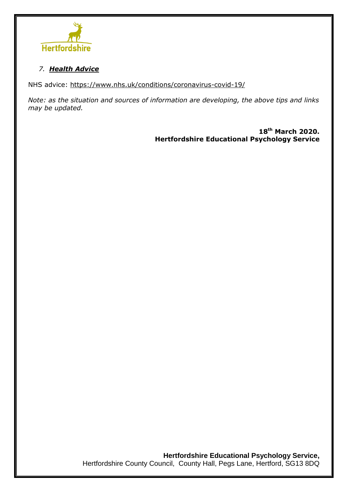

## *7. Health Advice*

NHS advice: <https://www.nhs.uk/conditions/coronavirus-covid-19/>

*Note: as the situation and sources of information are developing, the above tips and links may be updated.*

> **18th March 2020. Hertfordshire Educational Psychology Service**